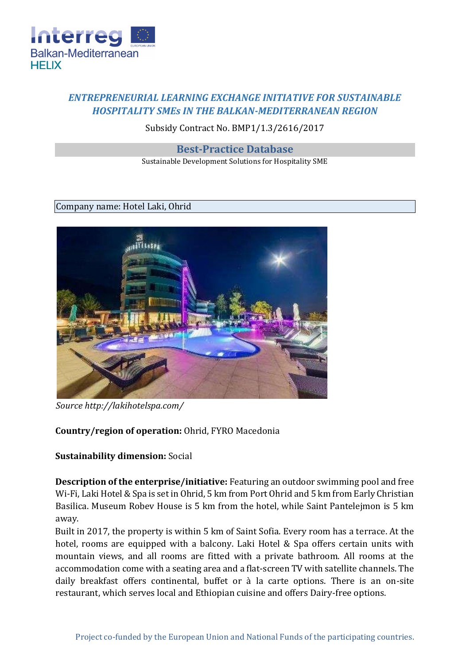

## *ENTREPRENEURIAL LEARNING EXCHANGE INITIATIVE FOR SUSTAINABLE HOSPITALITY SMEs IN THE BALKAN-MEDITERRANEAN REGION*

Subsidy Contract No. BMP1/1.3/2616/2017

**Best-Practice Database**

Sustainable Development Solutions for Hospitality SME

## Company name: Hotel Laki, Ohrid



*Source http://lakihotelspa.com/* 

## **Country/region of operation:** Ohrid, FYRO Macedonia

## **Sustainability dimension:** Social

**Description of the enterprise/initiative:** Featuring an outdoor swimming pool and free Wi-Fi, Laki Hotel & Spa is set in Ohrid, 5 km from Port Ohrid and 5 km from Early Christian Basilica. Museum Robev House is 5 km from the hotel, while Saint Pantelejmon is 5 km away.

Built in 2017, the property is within 5 km of Saint Sofia. Every room has a terrace. At the hotel, rooms are equipped with a balcony. Laki Hotel & Spa offers certain units with mountain views, and all rooms are fitted with a private bathroom. All rooms at the accommodation come with a seating area and a flat-screen TV with satellite channels. The daily breakfast offers continental, buffet or à la carte options. There is an on-site restaurant, which serves local and Ethiopian cuisine and offers Dairy-free options.